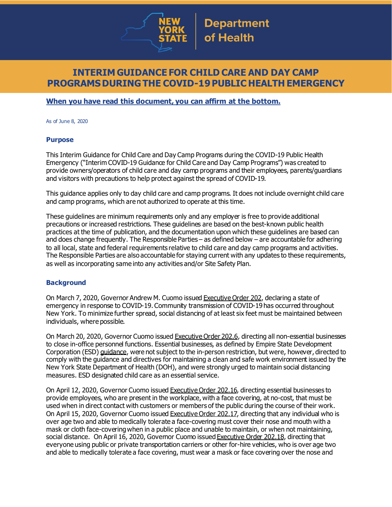

## **INTERIM GUIDANCE FOR CHILD CARE AND DAY CAMP PROGRAMSDURINGTHE COVID-19PUBLIC HEALTH EMERGENCY**

#### **When you have read this document, you can affirm at the bottom.**

As of June 8, 2020

#### **Purpose**

This Interim Guidance for Child Care and Day Camp Programs during the COVID-19 Public Health Emergency ("Interim COVID-19 Guidance for Child Care and Day Camp Programs") was created to provide owners/operators of child care and day camp programs and their employees, parents/guardians and visitors with precautions to help protect against the spread of COVID-19.

This guidance applies only to day child care and camp programs. It does not include overnight child care and camp programs, which are not authorized to operate at this time.

These guidelines are minimum requirements only and any employer is free to provide additional precautions or increased restrictions. These guidelines are based on the best-known public health practices at the time of publication, and the documentation upon which these guidelines are based can and does change frequently. The Responsible Parties – as defined below – are accountable for adhering to all local, state and federal requirements relative to child care and day camp programs and activities. The Responsible Parties are also accountable for staying current with any updates to these requirements, as well as incorporating same into any activities and/or Site Safety Plan.

#### **Background**

On March 7, 2020, Governor Andrew M. Cuomo issued [Executive](https://www.governor.ny.gov/news/no-202-declaring-disaster-emergency-state-new-york) Order 202, declaring a state of emergency in response to COVID-19. Community transmission of COVID-19 has occurred throughout New York. To minimize further spread, social distancing of at least six feet must be maintained between individuals, where possible.

On March 20, 2020, Governor Cuomo issued [Executive](https://www.governor.ny.gov/news/no-2026-continuing-temporary-suspension-and-modification-laws-relating-disaster-emergency) Order 202.6, directing all non-essential businesses to close in-office personnel functions. Essential businesses, as defined by Empire State Development Corporation (ESD) [guidance](https://esd.ny.gov/guidance-executive-order-2026), were not subject to the in-person restriction, but were, however, directed to comply with the guidance and directives for maintaining a clean and safe work environment issued by the New York State Department of Health (DOH), and were strongly urged to maintain social distancing measures. ESD designated child care as an essential service.

On April 12, 2020, Governor Cuomo issued [Executive](https://www.governor.ny.gov/news/no-20216-continuing-temporary-suspension-and-modification-laws-relating-disaster-emergency) Order 202.16, directing essential businesses to provide employees, who are present in the workplace, with a face covering, at no-cost, that must be used when in direct contact with customers or members of the public during the course of their work. On April 15, 2020, Governor Cuomo issued [Executive](https://www.governor.ny.gov/news/no-20217-continuing-temporary-suspension-and-modification-laws-relating-disaster-emergency) Order 202.17, directing that any individual who is over age two and able to medically tolerate a face-covering must cover their nose and mouth with a mask or cloth face-coveringwhen in a public place and unable to maintain, or when not maintaining, social distance. On April 16, 2020, Governor Cuomo issued [Executive](https://www.governor.ny.gov/news/no-20218-continuing-temporary-suspension-and-modification-laws-relating-disaster-emergency) Order 202.18, directing that everyone using public or private transportation carriers or other for-hire vehicles, who is over age two and able to medically tolerate a face covering, must wear a mask or face covering over the nose and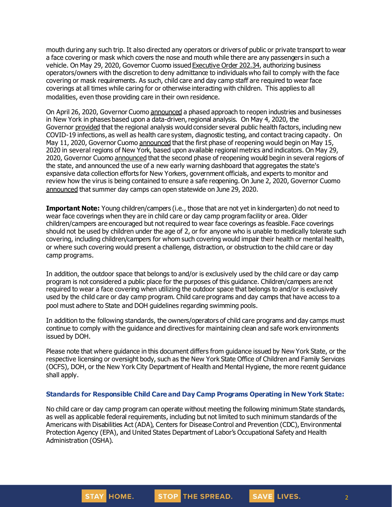mouth during any such trip. It also directed any operators or drivers of public or private transport to wear a face covering or mask which covers the nose and mouth while there are any passengers in such a vehicle. On May 29, 2020, Governor Cuomo issued [Executive](https://www.governor.ny.gov/news/no-20234-continuing-temporary-suspension-and-modification-laws-relating-disaster-emergency) Order 202.34, authorizing business operators/owners with the discretion to deny admittance to individuals who fail to comply with the face covering or mask requirements. As such, child care and day camp staff are required to wear face coverings at all times while caring for or otherwise interacting with children. This applies to all modalities, even those providing care in their own residence.

On April 26, 2020, Governor Cuomo [announced](https://www.governor.ny.gov/news/amid-ongoing-covid-19-pandemic-governor-cuomo-outlines-phased-plan-re-open-new-york-starting) a phased approach to reopen industries and businesses in New York in phases based upon a data-driven, regional analysis. On May 4, 2020, the Governor [provided](https://www.governor.ny.gov/news/amid-ongoing-covid-19-pandemic-governor-cuomo-outlines-additional-guidelines-when-regions-can) that the regional analysis would consider several public health factors, including new COVID-19 infections, as well as health care system, diagnostic testing, and contact tracing capacity. On May 11, 2020, Governor Cuomo [announced](https://www.governor.ny.gov/news/amid-ongoing-covid-19-pandemic-governor-cuomo-announces-three-regions-new-york-state-ready) that the first phase of reopening would begin on May 15, 2020 in several regions of New York, based upon available regional metrics and indicators. On May 29, 2020, Governor Cuomo [announced](https://www.governor.ny.gov/news/governor-cuomo-announces-new-york-city-enter-phase-1-reopening-june-8-and-five-regions-enter) that the second phase of reopening would begin in several regions of the state, and announced the use of a new early warning dashboard that aggregates the state's expansive data collection efforts for New Yorkers, government officials, and experts to monitor and review how the virus is being contained to ensure a safe reopening. On June 2, 2020, Governor Cuomo [announced](https://www.governor.ny.gov/news/governor-cuomo-announces-western-new-york-enters-phase-2-reopening-today) that summer day camps can open statewide on June 29, 2020.

**Important Note:** Young children/campers (i.e., those that are not yet in kindergarten) do not need to wear face coverings when they are in child care or day camp program facility or area. Older children/campers are encouraged but not required to wear face coverings as feasible. Face coverings should not be used by children under the age of 2, or for anyone who is unable to medically tolerate such covering, including children/campers for whom such covering would impair their health or mental health, or where such covering would present a challenge, distraction, or obstruction to the child care or day camp programs.

In addition, the outdoor space that belongs to and/or is exclusively used by the child care or day camp program is not considered a public place for the purposes of this guidance. Children/campers are not required to wear a face covering when utilizing the outdoor space that belongs to and/or is exclusively used by the child care or day camp program. Child care programs and day camps that have access to a pool must adhere to State and DOH guidelines regarding swimming pools.

In addition to the following standards, the owners/operators of child care programs and day camps must continue to comply with the guidance and directives for maintaining clean and safe work environments issued by DOH.

Please note that where guidance in this document differs from guidance issued by New York State, or the respective licensing or oversight body, such as the New York State Office of Children and Family Services (OCFS), DOH, or the New York City Department of Health and Mental Hygiene, the more recent guidance shall apply.

#### **Standards for Responsible Child Care and Day Camp Programs Operating in New York State:**

No child care or day camp program can operate without meeting the following minimum State standards, as well as applicable federal requirements, including but not limited to such minimum standards of the Americans with Disabilities Act (ADA), Centers for Disease Control and Prevention (CDC), Environmental Protection Agency (EPA), and United States Department of Labor's Occupational Safety and Health Administration (OSHA).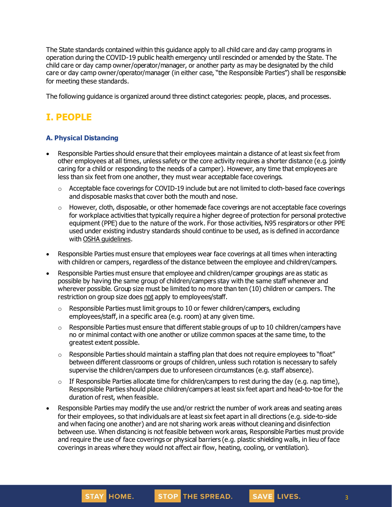The State standards contained within this guidance apply to all child care and day camp programs in operation during the COVID-19 public health emergency until rescinded or amended by the State. The child care or day camp owner/operator/manager, or another party as may be designated by the child care or day camp owner/operator/manager (in either case, "the Responsible Parties") shall be responsible for meeting these standards.

The following guidance is organized around three distinct categories: people, places, and processes.

# **I. PEOPLE**

## **A. Physical Distancing**

- Responsible Parties should ensure that their employees maintain a distance of at least six feet from other employees at all times, unless safety or the core activity requires a shorter distance (e.g. jointly caring for a child or responding to the needs of a camper). However, any time that employees are less than six feet from one another, they must wear acceptable face coverings.
	- $\circ$  Acceptable face coverings for COVID-19 include but are not limited to cloth-based face coverings and disposable masks that cover both the mouth and nose.
	- $\circ$  However, cloth, disposable, or other homemade face coverings are not acceptable face coverings for workplace activities that typically require a higher degree of protection for personal protective equipment (PPE) due to the nature of the work. For those activities, N95 respirators or other PPE used under existing industry standards should continue to be used, as is defined in accordance with OSHA [guidelines.](https://www.osha.gov/SLTC/personalprotectiveequipment/)
- Responsible Parties must ensure that employees wear face coverings at all times when interacting with children or campers, regardless of the distance between the employee and children/campers.
- Responsible Parties must ensure that employee and children/camper groupings are as static as possible by having the same group of children/campers stay with the same staff whenever and wherever possible. Group size must be limited to no more than ten (10) children or campers. The restriction on group size does not apply to employees/staff.
	- $\circ$  Responsible Parties must limit groups to 10 or fewer children/campers, excluding employees/staff, in a specific area (e.g. room) at any given time.
	- $\circ$  Responsible Parties must ensure that different stable groups of up to 10 children/campers have no or minimal contact with one another or utilize common spaces at the same time, to the greatest extent possible.
	- $\circ$  Responsible Parties should maintain a staffing plan that does not require employees to "float" between different classrooms or groups of children, unless such rotation is necessary to safely supervise the children/campers due to unforeseen circumstances (e.g. staff absence).
	- $\circ$  If Responsible Parties allocate time for children/campers to rest during the day (e.g. nap time), Responsible Parties should place children/campers at least six feet apart and head-to-toe for the duration of rest, when feasible.
- Responsible Parties may modify the use and/or restrict the number of work areas and seating areas for their employees, so that individuals are at least six feet apart in all directions (e.g. side-to-side and when facing one another) and are not sharing work areas without cleaning and disinfection between use. When distancing is not feasible between work areas, Responsible Parties must provide and require the use of face coverings or physical barriers (e.g. plastic shielding walls, in lieu of face coverings in areas where they would not affect air flow, heating, cooling, or ventilation).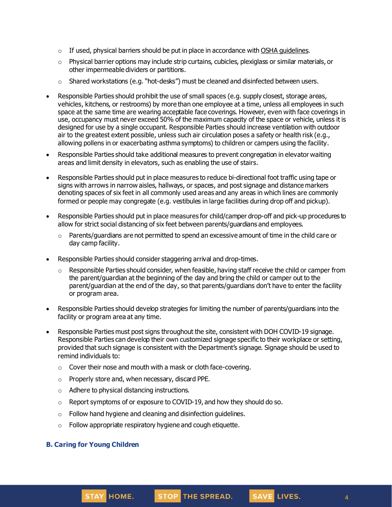- $\circ$  If used, physical barriers should be put in place in accordance with OSHA [guidelines](https://www.osha.gov/Publications/OSHA3990.pdf).
- $\circ$  Physical barrier options may include strip curtains, cubicles, plexiglass or similar materials, or other impermeable dividers or partitions.
- $\circ$  Shared workstations (e.g. "hot-desks") must be cleaned and disinfected between users.
- Responsible Parties should prohibit the use of small spaces (e.g. supply closest, storage areas, vehicles, kitchens, or restrooms) by more than one employee at a time, unless all employees in such space at the same time are wearing acceptable face coverings. However, even with face coverings in use, occupancy must never exceed 50% of the maximum capacity of the space or vehicle, unless it is designed for use by a single occupant. Responsible Parties should increase ventilation with outdoor air to the greatest extent possible, unless such air circulation poses a safety or health risk (e.g., allowing pollens in or exacerbating asthma symptoms) to children or campers using the facility.
- Responsible Parties should take additional measures to prevent congregation in elevator waiting areas and limit density in elevators, such as enabling the use of stairs.
- Responsible Parties should put in place measures to reduce bi-directional foot traffic using tape or signs with arrows in narrow aisles, hallways, or spaces, and post signage and distance markers denoting spaces of six feet in all commonly used areas and any areas in which lines are commonly formed or people may congregate (e.g. vestibules in large facilities during drop off and pickup).
- Responsible Parties should put in place measures for child/camper drop-off and pick-up procedures to allow for strict social distancing of six feet between parents/guardians and employees.
	- $\circ$  Parents/guardians are not permitted to spend an excessive amount of time in the child care or day camp facility.
- Responsible Parties should consider staggering arrival and drop-times.
	- $\circ$  Responsible Parties should consider, when feasible, having staff receive the child or camper from the parent/guardian at the beginning of the day and bring the child or camper out to the parent/guardian at the end of the day, so that parents/guardians don't have to enter the facility or program area.
- Responsible Parties should develop strategies for limiting the number of parents/guardians into the facility or program area at any time.
- Responsible Parties must post signs throughout the site, consistent with DOH COVID-19 signage. Responsible Parties can develop their own customized signage specific to their workplace or setting, provided that such signage is consistent with the Department's signage. Signage should be used to remind individuals to:
	- o Cover their nose and mouth with a mask or cloth face-covering.
	- o Properly store and, when necessary, discard PPE.
	- o Adhere to physical distancing instructions.
	- o Report symptoms of or exposure to COVID-19, and how they should do so.
	- $\circ$  Follow hand hygiene and cleaning and disinfection guidelines.
	- o Follow appropriate respiratory hygiene and cough etiquette.

#### **B. Caring for Young Children**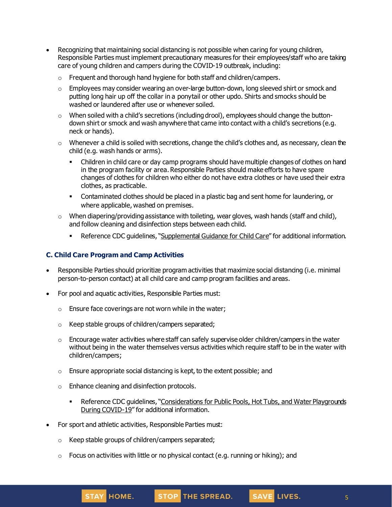- Recognizing that maintaining social distancing is not possible when caring for young children, Responsible Parties must implement precautionary measures for their employees/staff who are taking care of young children and campers during the COVID-19 outbreak, including:
	- o Frequent and thorough hand hygiene for both staff and children/campers.
	- $\circ$  Employees may consider wearing an over-large button-down, long sleeved shirt or smock and putting long hair up off the collar in a ponytail or other updo. Shirts and smocks should be washed or laundered after use or whenever soiled.
	- o When soiled with a child's secretions (including drool), employees should change the buttondown shirt or smock and wash anywhere that came into contact with a child's secretions (e.g. neck or hands).
	- $\circ$  Whenever a child is soiled with secretions, change the child's clothes and, as necessary, clean the child (e.g. wash hands or arms).
		- Children in child care or day camp programs should have multiple changes of clothes on hand in the program facility or area. Responsible Parties should make efforts to have spare changes of clothes for children who either do not have extra clothes or have used their extra clothes, as practicable.
		- **•** Contaminated clothes should be placed in a plastic bag and sent home for laundering, or where applicable, washed on premises.
	- $\circ$  When diapering/providing assistance with toileting, wear gloves, wash hands (staff and child), and follow cleaning and disinfection steps between each child.
		- **Reference CDC quidelines, "[Supplemental](https://www.cdc.gov/coronavirus/2019-ncov/community/schools-childcare/guidance-for-childcare.html) Guidance for Child Care" for additional information.**

### **C. Child Care Program and Camp Activities**

- Responsible Parties should prioritize program activities that maximize social distancing (i.e. minimal person-to-person contact) at all child care and camp program facilities and areas.
- For pool and aquatic activities, Responsible Parties must:
	- $\circ$  Ensure face coverings are not worn while in the water;
	- o Keep stable groups of children/campers separated;
	- $\circ$  Encourage water activities where staff can safely supervise older children/campers in the water without being in the water themselves versus activities which require staff to be in the water with children/campers;
	- $\circ$  Ensure appropriate social distancing is kept, to the extent possible; and
	- o Enhance cleaning and disinfection protocols.
		- **EXPEREE COC guidelines, "[Considerations](https://www.cdc.gov/coronavirus/2019-ncov/community/parks-rec/aquatic-venues.html) for Public Pools, Hot Tubs, and Water Playgrounds** During [COVID-19](https://www.cdc.gov/coronavirus/2019-ncov/community/parks-rec/aquatic-venues.html)" for additional information.
- For sport and athletic activities, Responsible Parties must:
	- o Keep stable groups of children/campers separated;
	- $\circ$  Focus on activities with little or no physical contact (e.g. running or hiking); and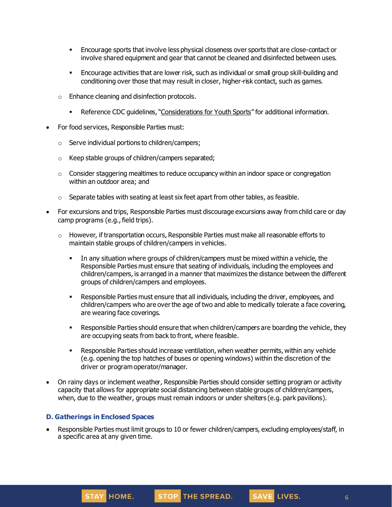- **Encourage sports that involve less physical closeness over sports that are close-contact or** involve shared equipment and gear that cannot be cleaned and disinfected between uses.
- **Encourage activities that are lower risk, such as individual or small group skill-building and** conditioning over those that may result in closer, higher-risk contact, such as games.
- o Enhance cleaning and disinfection protocols.
	- **•** Reference CDC quidelines, "[Considerations](https://www.cdc.gov/coronavirus/2019-ncov/community/schools-childcare/youth-sports.html) for Youth Sports" for additional information.
- For food services, Responsible Parties must:
	- o Serve individual portions to children/campers;
	- o Keep stable groups of children/campers separated;
	- $\circ$  Consider staggering mealtimes to reduce occupancy within an indoor space or congregation within an outdoor area; and
	- $\circ$  Separate tables with seating at least six feet apart from other tables, as feasible.
- For excursions and trips, Responsible Parties must discourage excursions away from child care or day camp programs (e.g., field trips).
	- $\circ$  However, if transportation occurs, Responsible Parties must make all reasonable efforts to maintain stable groups of children/campers in vehicles.
		- In any situation where groups of children/campers must be mixed within a vehicle, the Responsible Parties must ensure that seating of individuals, including the employees and children/campers, is arranged in a manner that maximizes the distance between the different groups of children/campers and employees.
		- Responsible Parties must ensure that all individuals, including the driver, employees, and children/campers who are over the age of two and able to medically tolerate a face covering, are wearing face coverings.
		- **EXECT** Responsible Parties should ensure that when children/campers are boarding the vehicle, they are occupying seats from back to front, where feasible.
		- **EXE** Responsible Parties should increase ventilation, when weather permits, within any vehide (e.g. opening the top hatches of buses or opening windows) within the discretion of the driver or program operator/manager.
- On rainy days or inclement weather, Responsible Parties should consider setting program or activity capacity that allows for appropriate social distancing between stable groups of children/campers, when, due to the weather, groups must remain indoors or under shelters (e.g. park pavilions).

### **D. Gatherings in Enclosed Spaces**

• Responsible Parties must limit groups to 10 or fewer children/campers, excluding employees/staff, in a specific area at any given time.

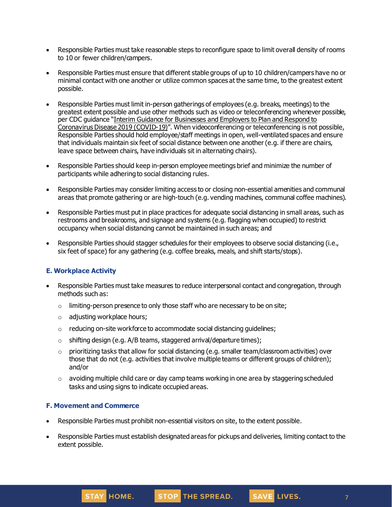- Responsible Parties must take reasonable steps to reconfigure space to limit overall density of rooms to 10 or fewer children/campers.
- Responsible Parties must ensure that different stable groups of up to 10 children/campers have no or minimal contact with one another or utilize common spaces at the same time, to the greatest extent possible.
- Responsible Parties must limit in-person gatherings of employees (e.g. breaks, meetings) to the greatest extent possible and use other methods such as video or teleconferencing whenever possible, per CDC guidance "Interim Guidance for [Businesses](https://www.cdc.gov/coronavirus/2019-ncov/community/guidance-business-response.html) and Employers to Plan and Respond to [Coronavirus](https://www.cdc.gov/coronavirus/2019-ncov/community/guidance-business-response.html) Disease 2019 (COVID-19)". When videoconferencing or teleconferencing is not possible, Responsible Parties should hold employee/staff meetings in open, well-ventilated spaces and ensure that individuals maintain six feet of social distance between one another(e.g. if there are chairs, leave space between chairs, have individuals sit in alternating chairs).
- Responsible Parties should keep in-person employee meetings brief and minimize the number of participants while adhering to social distancing rules.
- Responsible Parties may consider limiting access to or closing non-essential amenities and communal areas that promote gathering or are high-touch (e.g. vending machines, communal coffee machines).
- Responsible Parties must put in place practices for adequate social distancing in small areas, such as restrooms and breakrooms, and signage and systems (e.g. flagging when occupied) to restrict occupancy when social distancing cannot be maintained in such areas; and
- Responsible Parties should stagger schedules for their employees to observe social distancing (i.e., six feet of space) for any gathering (e.g. coffee breaks, meals, and shift starts/stops).

### **E. Workplace Activity**

- Responsible Parties must take measures to reduce interpersonal contact and congregation, through methods such as:
	- o limiting-person presence to only those staff who are necessary to be on site;
	- o adjusting workplace hours;
	- o reducing on-site workforce to accommodate social distancing guidelines;
	- $\circ$  shifting design (e.g. A/B teams, staggered arrival/departure times);
	- $\circ$  prioritizing tasks that allow for social distancing (e.g. smaller team/classroom activities) over those that do not (e.g. activities that involve multiple teams or different groups of children); and/or
	- $\circ$  avoiding multiple child care or day camp teams working in one area by staggering scheduled tasks and using signs to indicate occupied areas.

### **F. Movement and Commerce**

- Responsible Parties must prohibit non-essential visitors on site, to the extent possible.
- Responsible Parties must establish designated areas for pickups and deliveries, limiting contact to the extent possible.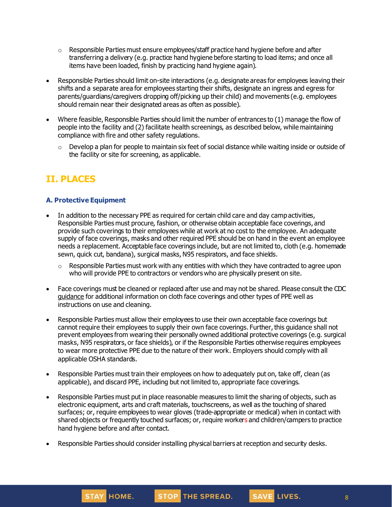- $\circ$  Responsible Parties must ensure employees/staff practice hand hygiene before and after transferring a delivery (e.g. practice hand hygiene before starting to load items; and once all items have been loaded, finish by practicing hand hygiene again).
- Responsible Parties should limit on-site interactions (e.g. designate areas for employees leaving their shifts and a separate area for employees starting their shifts, designate an ingress and egress for parents/guardians/caregivers dropping off/picking up their child) and movements (e.g. employees should remain near their designated areas as often as possible).
- Where feasible, Responsible Parties should limit the number of entrances to (1) manage the flow of people into the facility and (2) facilitate health screenings, as described below, while maintaining compliance with fire and other safety regulations.
	- Develop a plan for people to maintain six feet of social distance while waiting inside or outside of the facility or site for screening, as applicable.

# **II. PLACES**

### **A. Protective Equipment**

- In addition to the necessary PPE as required for certain child care and day camp activities, Responsible Parties must procure, fashion, or otherwise obtain acceptable face coverings, and provide such coverings to their employees while at work at no cost to the employee. An adequate supply of face coverings, masks and other required PPE should be on hand in the event an employee needs a replacement. Acceptable face coverings include, but are not limited to, cloth (e.g. homemade sewn, quick cut, bandana), surgical masks, N95 respirators, and face shields.
	- $\circ$  Responsible Parties must work with any entities with which they have contracted to agree upon who will provide PPE to contractors or vendors who are physically present on site.
- Face coverings must be cleaned or replaced after use and may not be shared. Please consult the CDC [guidance](https://www.cdc.gov/coronavirus/2019-ncov/community/guidance-business-response.html) for additional information on cloth face coverings and other types of PPE well as instructions on use and cleaning.
- Responsible Parties must allow their employees to use their own acceptable face coverings but cannot require their employees to supply their own face coverings. Further, this guidance shall not prevent employees from wearing their personally owned additional protective coverings (e.g. surgical masks, N95 respirators, or face shields), or if the Responsible Parties otherwise requires employees to wear more protective PPE due to the nature of their work. Employers should comply with all applicable OSHA standards.
- Responsible Parties must train their employees on how to adequately put on, take off, clean (as applicable), and discard PPE, including but not limited to, appropriate face coverings.
- Responsible Parties must put in place reasonable measures to limit the sharing of objects, such as electronic equipment, arts and craft materials, touchscreens, as well as the touching of shared surfaces; or, require employees to wear gloves (trade-appropriate or medical) when in contact with shared objects or frequently touched surfaces; or, require workers and children/campers to practice hand hygiene before and after contact.
- Responsible Parties should consider installing physical barriers at reception and security desks.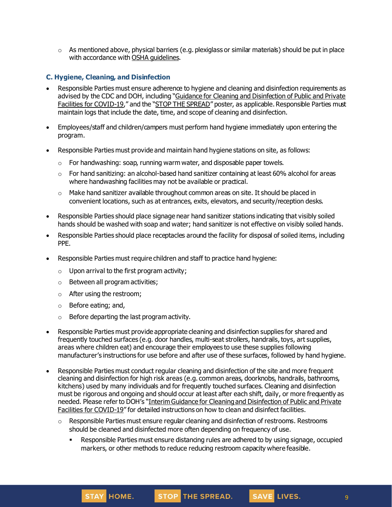$\circ$  As mentioned above, physical barriers (e.g. plexiglass or similar materials) should be put in place with accordance with OSHA quidelines.

#### **C. Hygiene, Cleaning, and Disinfection**

- Responsible Parties must ensure adherence to hygiene and cleaning and disinfection requirements as advised by the CDC and DOH, including "Guidance for Cleaning and [Disinfection](https://coronavirus.health.ny.gov/system/files/documents/2020/03/cleaning_guidance_general_building.pdf) of Public and Private Facilities for [COVID-19](https://coronavirus.health.ny.gov/system/files/documents/2020/03/cleaning_guidance_general_building.pdf)," and the "STOP THE [SPREAD](https://coronavirus.health.ny.gov/system/files/documents/2020/04/13067_coronavirus_protectyourself_poster_042020.pdf)" poster, as applicable. Responsible Parties must maintain logs that include the date, time, and scope of cleaning and disinfection.
- Employees/staff and children/campers must perform hand hygiene immediately upon entering the program.
- Responsible Parties must provide and maintain hand hygiene stations on site, as follows:
	- o For handwashing: soap, running warm water, and disposable paper towels.
	- $\circ$  For hand sanitizing: an alcohol-based hand sanitizer containing at least 60% alcohol for areas where handwashing facilities may not be available or practical.
	- $\circ$  Make hand sanitizer available throughout common areas on site. It should be placed in convenient locations, such as at entrances, exits, elevators, and security/reception desks.
- Responsible Parties should place signage near hand sanitizer stations indicating that visibly soiled hands should be washed with soap and water; hand sanitizer is not effective on visibly soiled hands.
- Responsible Parties should place receptacles around the facility for disposal of soiled items, including PPE.
- Responsible Parties must require children and staff to practice hand hygiene:
	- $\circ$  Upon arrival to the first program activity;
	- o Between all program activities;
	- o After using the restroom;
	- o Before eating; and,
	- o Before departing the last program activity.
- Responsible Parties must provide appropriate cleaning and disinfection supplies for shared and frequently touched surfaces (e.g. door handles, multi-seat strollers, handrails, toys, art supplies, areas where children eat) and encourage their employees to use these supplies following manufacturer's instructions for use before and after use of these surfaces, followed by hand hygiene.
- Responsible Parties must conduct regular cleaning and disinfection of the site and more frequent cleaning and disinfection for high risk areas (e.g. common areas, doorknobs, handrails, bathrooms, kitchens) used by many individuals and for frequently touched surfaces. Cleaning and disinfection must be rigorous and ongoing and should occur at least after each shift, daily, or more frequently as needed. Please refer to DOH's "Interim Guidance for Cleaning and [Disinfection](https://coronavirus.health.ny.gov/system/files/documents/2020/03/cleaning_guidance_general_building.pdf) of Public and Private Facilities for [COVID-19](https://coronavirus.health.ny.gov/system/files/documents/2020/03/cleaning_guidance_general_building.pdf)" for detailed instructions on how to clean and disinfect facilities.
	- $\circ$  Responsible Parties must ensure regular cleaning and disinfection of restrooms. Restrooms should be cleaned and disinfected more often depending on frequency of use.
		- Responsible Parties must ensure distancing rules are adhered to by using signage, occupied markers, or other methods to reduce reducing restroom capacity where feasible.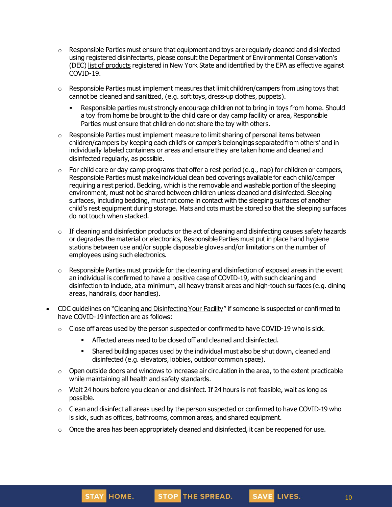- $\circ$  Responsible Parties must ensure that equipment and toys are regularly cleaned and disinfected using registered disinfectants, please consult the Department of Environmental Conservation's (DEC) list of [products](http://www.dec.ny.gov/docs/materials_minerals_pdf/covid19.pdf) registered in New York State and identified by the EPA as effective against COVID-19.
- $\circ$  Responsible Parties must implement measures that limit children/campers from using toys that cannot be cleaned and sanitized, (e.g. soft toys, dress-up clothes, puppets).
	- Responsible parties must strongly encourage children not to bring in toys from home. Should a toy from home be brought to the child care or day camp facility or area, Responsible Parties must ensure that children do not share the toy with others.
- $\circ$  Responsible Parties must implement measure to limit sharing of personal items between children/campers by keeping each child's or camper's belongings separated from others' and in individually labeled containers or areas and ensure they are taken home and cleaned and disinfected regularly, as possible.
- $\circ$  For child care or day camp programs that offer a rest period (e.g., nap) for children or campers, Responsible Parties must make individual clean bed coverings available for each child/camper requiring a rest period. Bedding, which is the removable and washable portion of the sleeping environment, must not be shared between children unless cleaned and disinfected. Sleeping surfaces, including bedding, must not come in contact with the sleeping surfaces of another child's rest equipment during storage. Mats and cots must be stored so that the sleeping surfaces do not touch when stacked.
- $\circ$  If cleaning and disinfection products or the act of cleaning and disinfecting causes safety hazards or degrades the material or electronics, Responsible Parties must put in place hand hygiene stations between use and/or supple disposable gloves and/or limitations on the number of employees using such electronics.
- $\circ$  Responsible Parties must provide for the cleaning and disinfection of exposed areas in the event an individual is confirmed to have a positive case of COVID-19, with such cleaning and disinfection to include, at a minimum, all heavy transit areas and high-touch surfaces (e.g. dining areas, handrails, door handles).
- CDC guidelines on "Cleaning and [Disinfecting](https://www.cdc.gov/coronavirus/2019-ncov/community/disinfecting-building-facility.html) Your Facility" if someone is suspected or confirmed to have COVID-19 infection are as follows:
	- $\circ$  Close off areas used by the person suspected or confirmed to have COVID-19 who is sick.
		- **EXECTED Affected areas need to be closed off and cleaned and disinfected.**
		- **EXED** Shared building spaces used by the individual must also be shut down, cleaned and disinfected (e.g. elevators, lobbies, outdoor common space).
	- $\circ$  Open outside doors and windows to increase air circulation in the area, to the extent practicable while maintaining all health and safety standards.
	- $\circ$  Wait 24 hours before you clean or and disinfect. If 24 hours is not feasible, wait as long as possible.
	- $\circ$  Clean and disinfect all areas used by the person suspected or confirmed to have COVID-19 who is sick, such as offices, bathrooms, common areas, and shared equipment.
	- $\circ$  Once the area has been appropriately cleaned and disinfected, it can be reopened for use.

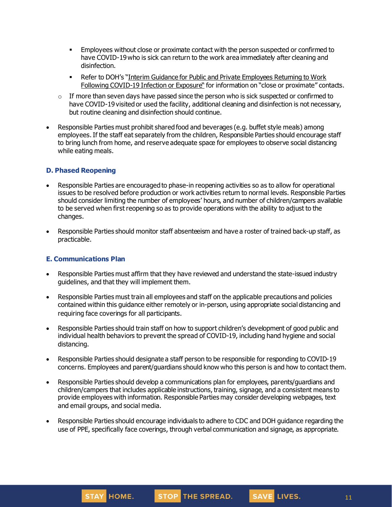- **Employees without close or proximate contact with the person suspected or confirmed to** have COVID-19who is sick can return to the work area immediately after cleaning and disinfection.
- Refer to DOH's "Interim Guidance for Public and Private [Employees](https://coronavirus.health.ny.gov/system/files/documents/2020/06/doh_covid19_publicprivateemployeereturntowork_053120.pdf) Returning to Work Following [COVID-19](https://coronavirus.health.ny.gov/system/files/documents/2020/06/doh_covid19_publicprivateemployeereturntowork_053120.pdf) Infection or Exposure" for information on "close or proximate" contacts.
- $\circ$  If more than seven days have passed since the person who is sick suspected or confirmed to have COVID-19 visited or used the facility, additional cleaning and disinfection is not necessary, but routine cleaning and disinfection should continue.
- Responsible Parties must prohibit shared food and beverages (e.g. buffet style meals) among employees.If the staff eat separately from the children, Responsible Parties should encourage staff to bring lunch from home, and reserve adequate space for employees to observe social distancing while eating meals.

#### **D. Phased Reopening**

- Responsible Parties are encouraged to phase-in reopening activities so as to allow for operational issues to be resolved before production or work activities return to normal levels. Responsible Parties should consider limiting the number of employees' hours, and number of children/campers available to be served when first reopening so as to provide operations with the ability to adjust to the changes.
- Responsible Parties should monitor staff absenteeism and have a roster of trained back-up staff, as practicable.

#### **E. Communications Plan**

- Responsible Parties must affirm that they have reviewed and understand the state-issued industry guidelines, and that they will implement them.
- Responsible Parties must train all employees and staff on the applicable precautions and policies contained within this guidance either remotely or in-person, using appropriate social distancing and requiring face coverings for all participants.
- Responsible Parties should train staff on how to support children's development of good public and individual health behaviors to prevent the spread of COVID-19, including hand hygiene and social distancing.
- Responsible Parties should designate a staff person to be responsible for responding to COVID-19 concerns. Employees and parent/guardians should know who this person is and how to contact them.
- Responsible Parties should develop a communications plan for employees, parents/guardians and children/campers that includes applicable instructions, training, signage, and a consistent means to provide employees with information. Responsible Parties may consider developing webpages, text and email groups, and social media.
- Responsible Parties should encourage individuals to adhere to CDC and DOH guidance regarding the use of PPE, specifically face coverings, through verbal communication and signage, as appropriate.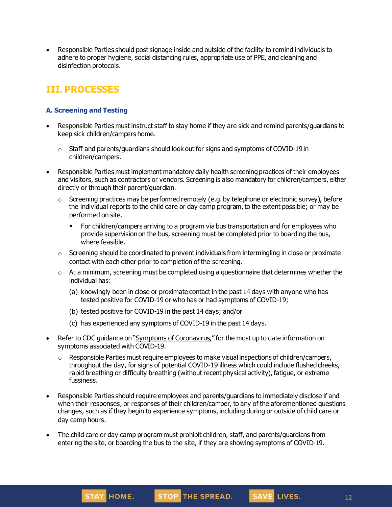• Responsible Parties should post signage inside and outside of the facility to remind individuals to adhere to proper hygiene, social distancing rules, appropriate use of PPE, and cleaning and disinfection protocols.

## **III. PROCESSES**

## **A. Screening and Testing**

- Responsible Parties must instruct staff to stay home if they are sick and remind parents/guardians to keep sick children/campers home.
	- o Staff and parents/guardians should look out for signs and symptoms of COVID-19 in children/campers.
- Responsible Parties must implement mandatory daily health screening practices of their employees and visitors, such as contractors or vendors. Screening is also mandatory for children/campers, either directly or through their parent/guardian.
	- $\circ$  Screening practices may be performed remotely (e.g. by telephone or electronic survey), before the individual reports to the child care or day camp program, to the extent possible; or may be performed on site.
		- For children/campers arriving to a program via bus transportation and for employees who provide supervision on the bus, screening must be completed prior to boarding the bus, where feasible.
	- $\circ$  Screening should be coordinated to prevent individuals from intermingling in close or proximate contact with each other prior to completion of the screening.
	- $\circ$  At a minimum, screening must be completed using a questionnaire that determines whether the individual has:
		- (a) knowingly been in close or proximate contact in the past 14 days with anyone who has tested positive for COVID-19 or who has or had symptoms of COVID-19;
		- (b) tested positive for COVID-19 in the past 14 days; and/or
		- (c) has experienced any symptoms of COVID-19 in the past 14 days.
- Refer to CDC guidance on "Symptoms of [Coronavirus](https://www.cdc.gov/coronavirus/2019-ncov/symptoms-testing/symptoms.html)," for the most up to date information on symptoms associated with COVID-19.
	- $\circ$  Responsible Parties must require employees to make visual inspections of children/campers, throughout the day, for signs of potential COVID-19 illness which could include flushed cheeks, rapid breathing or difficulty breathing (without recent physical activity), fatigue, or extreme fussiness.
- Responsible Parties should require employees and parents/guardians to immediately disclose if and when their responses, or responses of their children/camper, to any of the aforementioned questions changes, such as if they begin to experience symptoms, including during or outside of child care or day camp hours.
- The child care or day camp program must prohibit children, staff, and parents/guardians from entering the site, or boarding the bus to the site, if they are showing symptoms of COVID-19.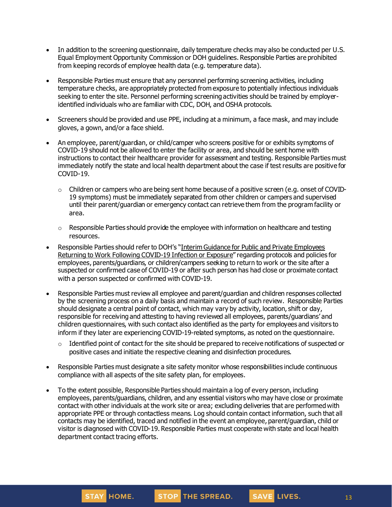- In addition to the screening questionnaire, daily temperature checks may also be conducted per U.S. Equal Employment Opportunity Commission or DOH guidelines. Responsible Parties are prohibited from keeping records of employee health data (e.g. temperature data).
- Responsible Parties must ensure that any personnel performing screening activities, including temperature checks, are appropriately protected from exposure to potentially infectious individuals seeking to enter the site. Personnel performing screening activities should be trained by employeridentified individuals who are familiar with CDC, DOH, and OSHA protocols.
- Screeners should be provided and use PPE, including at a minimum, a face mask, and may include gloves, a gown, and/or a face shield.
- An employee, parent/guardian, or child/camper who screens positive for or exhibits symptoms of COVID-19 should not be allowed to enter the facility or area, and should be sent home with instructions to contact their healthcare provider for assessment and testing. Responsible Parties must immediately notify the state and local health department about the case if test results are positive for COVID-19.
	- $\circ$  Children or campers who are being sent home because of a positive screen (e.g. onset of COVID-19 symptoms) must be immediately separated from other children or campers and supervised until their parent/guardian or emergency contact can retrieve them from the program facility or area.
	- $\circ$  Responsible Parties should provide the employee with information on healthcare and testing resources.
- Responsible Parties should refer to DOH's "Interim Guidance for Public and Private [Employees](https://coronavirus.health.ny.gov/system/files/documents/2020/06/doh_covid19_publicprivateemployeereturntowork_053120.pdf) Returning to Work Following [COVID-19](https://coronavirus.health.ny.gov/system/files/documents/2020/06/doh_covid19_publicprivateemployeereturntowork_053120.pdf) Infection or Exposure" regarding protocols and policies for employees, parents/guardians, or children/campers seeking to return to work or the site after a suspected or confirmed case of COVID-19 or after such person has had close or proximate contact with a person suspected or confirmed with COVID-19.
- Responsible Parties must review all employee and parent/guardian and children responses collected by the screening process on a daily basis and maintain a record of such review. Responsible Parties should designate a central point of contact, which may vary by activity, location, shift or day, responsible for receiving and attesting to having reviewed all employees, parents/guardians' and children questionnaires, with such contact also identified as the party for employees and visitors to inform if they later are experiencing COVID-19-related symptoms, as noted on the questionnaire.
	- $\circ$  Identified point of contact for the site should be prepared to receive notifications of suspected or positive cases and initiate the respective cleaning and disinfection procedures.
- Responsible Parties must designate a site safety monitor whose responsibilities include continuous compliance with all aspects of the site safety plan, for employees.
- To the extent possible, Responsible Parties should maintain a log of every person, including employees, parents/guardians, children, and any essential visitors who may have close or proximate contact with other individuals at the work site or area; excluding deliveries that are performed with appropriate PPE or through contactless means. Log should contain contact information, such that all contacts may be identified, traced and notified in the event an employee, parent/guardian, child or visitor is diagnosed with COVID-19. Responsible Parties must cooperate with state and local health department contact tracing efforts.

**STAY HOME.**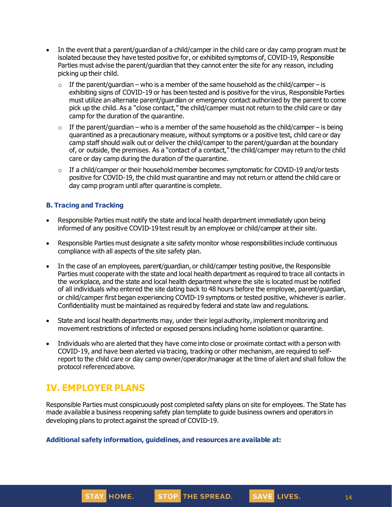- In the event that a parent/guardian of a child/camper in the child care or day camp program must be isolated because they have tested positive for, or exhibited symptoms of, COVID-19, Responsible Parties must advise the parent/guardian that they cannot enter the site for any reason, including picking up their child.
	- $\circ$  If the parent/quardian who is a member of the same household as the child/camper is exhibiting signs of COVID-19 or has been tested and is positive for the virus, Responsible Parties must utilize an alternate parent/guardian or emergency contact authorized by the parent to come pick up the child. As a "close contact," the child/camper must not return to the child care or day camp for the duration of the quarantine.
	- $\circ$  If the parent/guardian who is a member of the same household as the child/camper is being quarantined as a precautionary measure, without symptoms or a positive test, child care or day camp staff should walk out or deliver the child/camper to the parent/guardian at the boundary of, or outside, the premises. As a "contact of a contact," the child/camper may return to the child care or day camp during the duration of the quarantine.
	- $\circ$  If a child/camper or their household member becomes symptomatic for COVID-19 and/or tests positive for COVID-19, the child must quarantine and may not return or attend the child care or day camp program until after quarantine is complete.

#### **B. Tracing and Tracking**

- Responsible Parties must notify the state and local health department immediately upon being informed of any positive COVID-19 test result by an employee or child/camper at their site.
- Responsible Parties must designate a site safety monitor whose responsibilities include continuous compliance with all aspects of the site safety plan.
- In the case of an employees, parent/quardian, or child/camper testing positive, the Responsible Parties must cooperate with the state and local health department as required to trace all contacts in the workplace, and the state and local health department where the site is located must be notified of all individuals who entered the site dating back to 48 hours before the employee, parent/guardian, or child/camper first began experiencing COVID-19 symptoms or tested positive, whichever is earlier. Confidentiality must be maintained as required by federal and state law and regulations.
- State and local health departments may, under their legal authority, implement monitoring and movement restrictions of infected or exposed persons including home isolationor quarantine.
- Individuals who are alerted that they have come into close or proximate contact with a person with COVID-19, and have been alerted via tracing, tracking or other mechanism, are required to selfreport to the child care or day camp owner/operator/manager at the time of alert and shall follow the protocol referenced above.

## **IV. EMPLOYER PLANS**

STAY HOME.

Responsible Parties must conspicuously post completed safety plans on site for employees. The State has made available a business reopening safety plan template to guide business owners and operators in developing plans to protect against the spread of COVID-19.

STOP THE SPREAD.

**Additional safety information, guidelines, and resources are available at:**